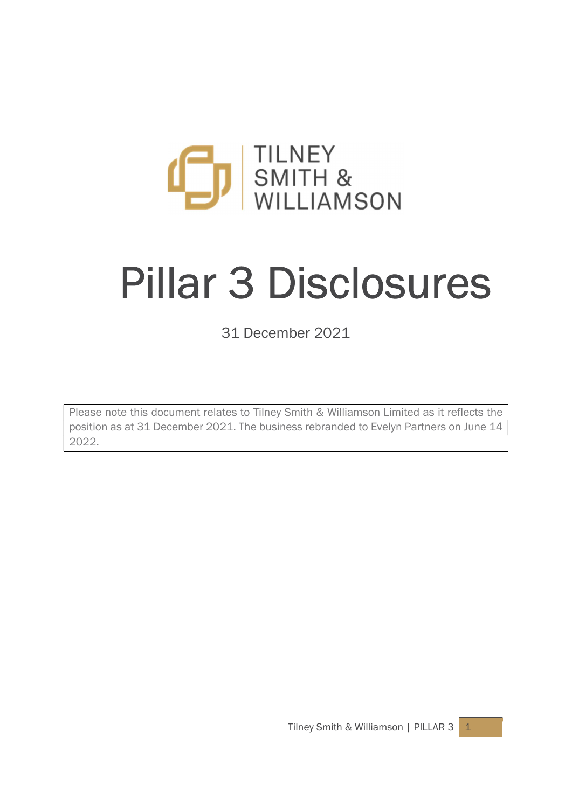

# Pillar 3 Disclosures

31 December 2021

Please note this document relates to Tilney Smith & Williamson Limited as it reflects the position as at 31 December 2021. The business rebranded to Evelyn Partners on June 14 2022.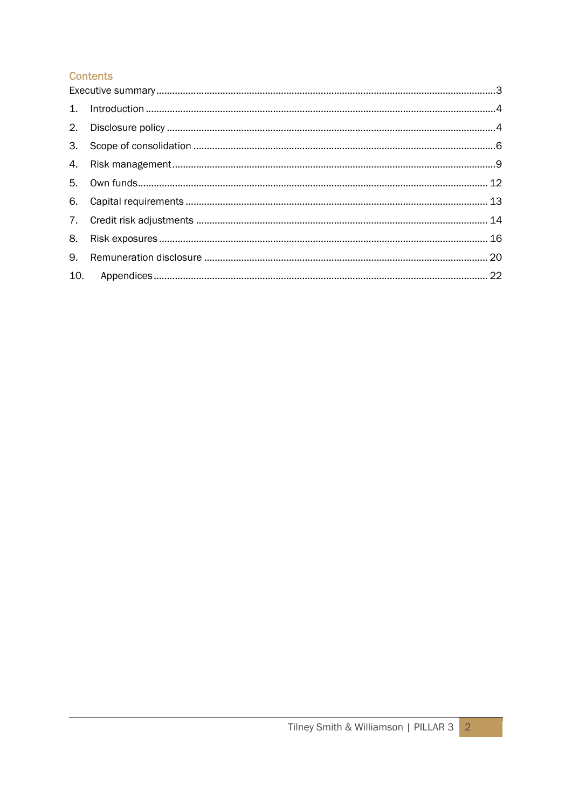# **Contents**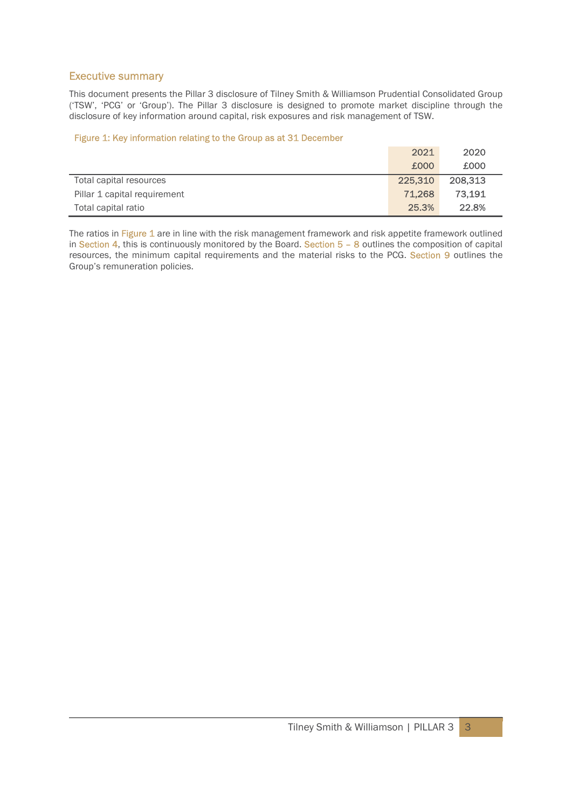# Executive summary

This document presents the Pillar 3 disclosure of Tilney Smith & Williamson Prudential Consolidated Group ('TSW', 'PCG' or 'Group'). The Pillar 3 disclosure is designed to promote market discipline through the disclosure of key information around capital, risk exposures and risk management of TSW.

#### Figure 1: Key information relating to the Group as at 31 December

|                              | 2021    | 2020    |
|------------------------------|---------|---------|
|                              | £000    | £000    |
| Total capital resources      | 225,310 | 208,313 |
| Pillar 1 capital requirement | 71,268  | 73,191  |
| Total capital ratio          | 25.3%   | 22.8%   |

The ratios in Figure 1 are in line with the risk management framework and risk appetite framework outlined in Section 4, this is continuously monitored by the Board. Section  $5 - 8$  outlines the composition of capital resources, the minimum capital requirements and the material risks to the PCG. Section 9 outlines the Group's remuneration policies.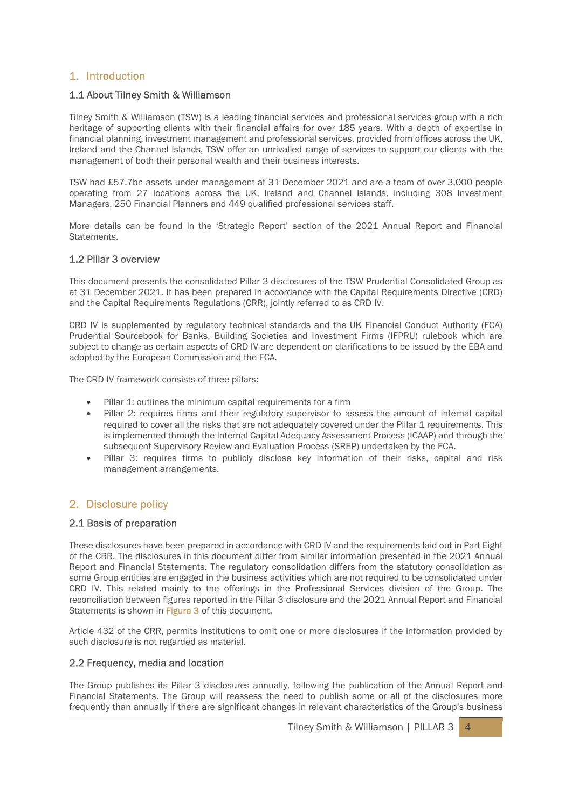# 1. Introduction

# 1.1 About Tilney Smith & Williamson

Tilney Smith & Williamson (TSW) is a leading financial services and professional services group with a rich heritage of supporting clients with their financial affairs for over 185 years. With a depth of expertise in financial planning, investment management and professional services, provided from offices across the UK, Ireland and the Channel Islands, TSW offer an unrivalled range of services to support our clients with the management of both their personal wealth and their business interests.

TSW had £57.7bn assets under management at 31 December 2021 and are a team of over 3,000 people operating from 27 locations across the UK, Ireland and Channel Islands, including 308 Investment Managers, 250 Financial Planners and 449 qualified professional services staff.

More details can be found in the 'Strategic Report' section of the 2021 Annual Report and Financial Statements.

#### 1.2 Pillar 3 overview

This document presents the consolidated Pillar 3 disclosures of the TSW Prudential Consolidated Group as at 31 December 2021. It has been prepared in accordance with the Capital Requirements Directive (CRD) and the Capital Requirements Regulations (CRR), jointly referred to as CRD IV.

CRD IV is supplemented by regulatory technical standards and the UK Financial Conduct Authority (FCA) Prudential Sourcebook for Banks, Building Societies and Investment Firms (IFPRU) rulebook which are subject to change as certain aspects of CRD IV are dependent on clarifications to be issued by the EBA and adopted by the European Commission and the FCA.

The CRD IV framework consists of three pillars:

- Pillar 1: outlines the minimum capital requirements for a firm
- Pillar 2: requires firms and their regulatory supervisor to assess the amount of internal capital required to cover all the risks that are not adequately covered under the Pillar 1 requirements. This is implemented through the Internal Capital Adequacy Assessment Process (ICAAP) and through the subsequent Supervisory Review and Evaluation Process (SREP) undertaken by the FCA.
- Pillar 3: requires firms to publicly disclose key information of their risks, capital and risk management arrangements.

# 2. Disclosure policy

#### 2.1 Basis of preparation

These disclosures have been prepared in accordance with CRD IV and the requirements laid out in Part Eight of the CRR. The disclosures in this document differ from similar information presented in the 2021 Annual Report and Financial Statements. The regulatory consolidation differs from the statutory consolidation as some Group entities are engaged in the business activities which are not required to be consolidated under CRD IV. This related mainly to the offerings in the Professional Services division of the Group. The reconciliation between figures reported in the Pillar 3 disclosure and the 2021 Annual Report and Financial Statements is shown in Figure 3 of this document.

Article 432 of the CRR, permits institutions to omit one or more disclosures if the information provided by such disclosure is not regarded as material.

# 2.2 Frequency, media and location

The Group publishes its Pillar 3 disclosures annually, following the publication of the Annual Report and Financial Statements. The Group will reassess the need to publish some or all of the disclosures more frequently than annually if there are significant changes in relevant characteristics of the Group's business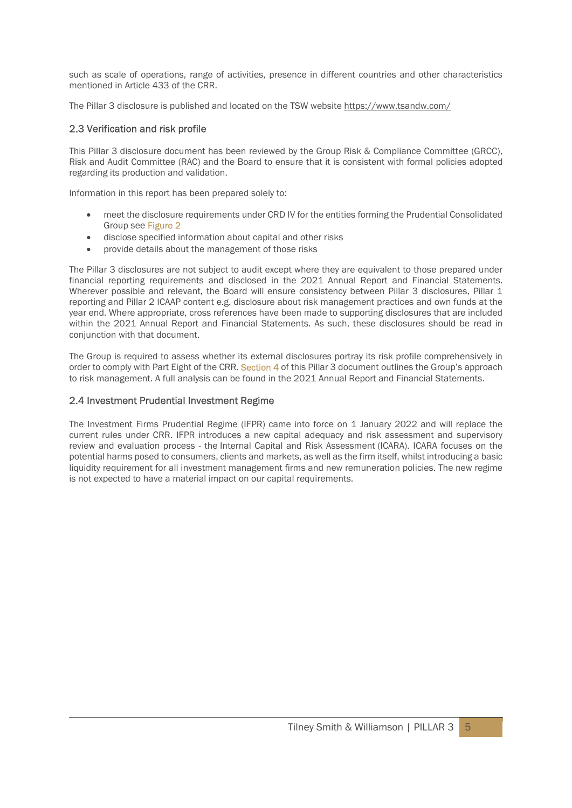such as scale of operations, range of activities, presence in different countries and other characteristics mentioned in Article 433 of the CRR.

The Pillar 3 disclosure is published and located on the TSW website https://www.tsandw.com/

# 2.3 Verification and risk profile

This Pillar 3 disclosure document has been reviewed by the Group Risk & Compliance Committee (GRCC), Risk and Audit Committee (RAC) and the Board to ensure that it is consistent with formal policies adopted regarding its production and validation.

Information in this report has been prepared solely to:

- meet the disclosure requirements under CRD IV for the entities forming the Prudential Consolidated Group see Figure 2
- disclose specified information about capital and other risks
- provide details about the management of those risks

The Pillar 3 disclosures are not subject to audit except where they are equivalent to those prepared under financial reporting requirements and disclosed in the 2021 Annual Report and Financial Statements. Wherever possible and relevant, the Board will ensure consistency between Pillar 3 disclosures, Pillar 1 reporting and Pillar 2 ICAAP content e.g. disclosure about risk management practices and own funds at the year end. Where appropriate, cross references have been made to supporting disclosures that are included within the 2021 Annual Report and Financial Statements. As such, these disclosures should be read in conjunction with that document.

The Group is required to assess whether its external disclosures portray its risk profile comprehensively in order to comply with Part Eight of the CRR. Section 4 of this Pillar 3 document outlines the Group's approach to risk management. A full analysis can be found in the 2021 Annual Report and Financial Statements.

## 2.4 Investment Prudential Investment Regime

The Investment Firms Prudential Regime (IFPR) came into force on 1 January 2022 and will replace the current rules under CRR. IFPR introduces a new capital adequacy and risk assessment and supervisory review and evaluation process - the Internal Capital and Risk Assessment (ICARA). ICARA focuses on the potential harms posed to consumers, clients and markets, as well as the firm itself, whilst introducing a basic liquidity requirement for all investment management firms and new remuneration policies. The new regime is not expected to have a material impact on our capital requirements.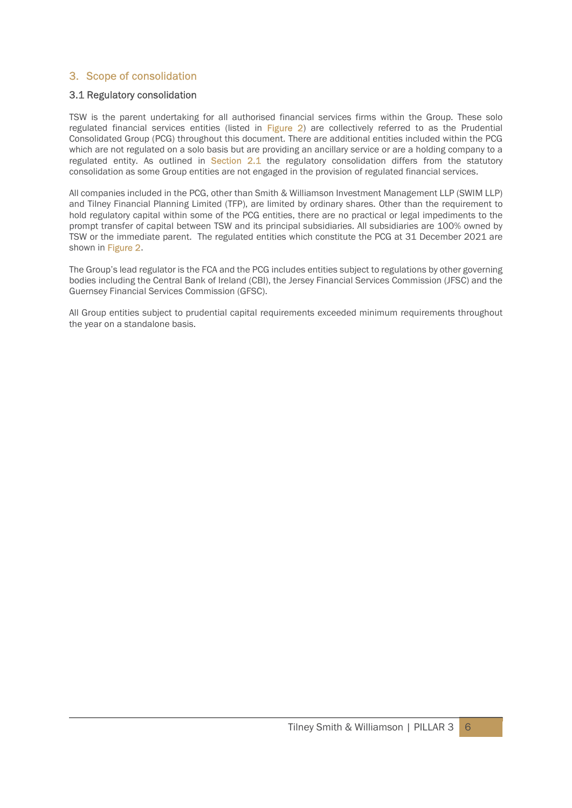# 3. Scope of consolidation

# 3.1 Regulatory consolidation

TSW is the parent undertaking for all authorised financial services firms within the Group. These solo regulated financial services entities (listed in Figure 2) are collectively referred to as the Prudential Consolidated Group (PCG) throughout this document. There are additional entities included within the PCG which are not regulated on a solo basis but are providing an ancillary service or are a holding company to a regulated entity. As outlined in Section 2.1 the regulatory consolidation differs from the statutory consolidation as some Group entities are not engaged in the provision of regulated financial services.

All companies included in the PCG, other than Smith & Williamson Investment Management LLP (SWIM LLP) and Tilney Financial Planning Limited (TFP), are limited by ordinary shares. Other than the requirement to hold regulatory capital within some of the PCG entities, there are no practical or legal impediments to the prompt transfer of capital between TSW and its principal subsidiaries. All subsidiaries are 100% owned by TSW or the immediate parent. The regulated entities which constitute the PCG at 31 December 2021 are shown in Figure 2.

The Group's lead regulator is the FCA and the PCG includes entities subject to regulations by other governing bodies including the Central Bank of Ireland (CBI), the Jersey Financial Services Commission (JFSC) and the Guernsey Financial Services Commission (GFSC).

All Group entities subject to prudential capital requirements exceeded minimum requirements throughout the year on a standalone basis.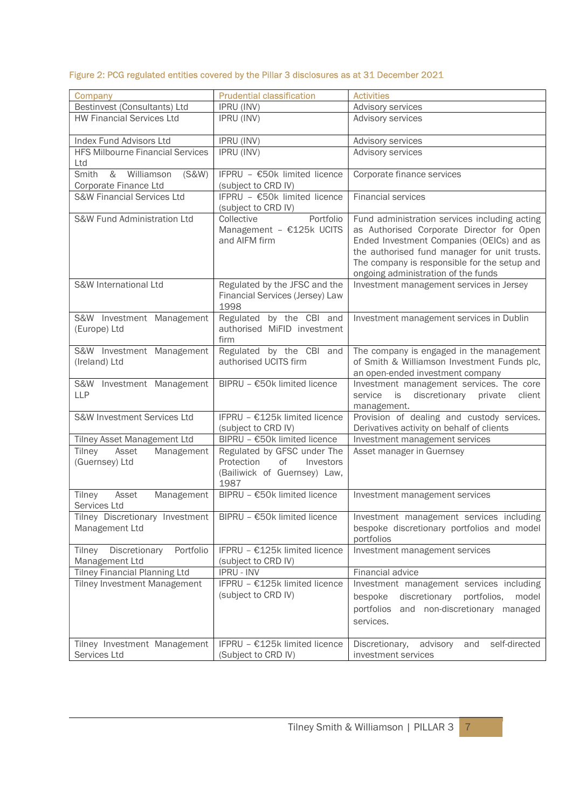# Figure 2: PCG regulated entities covered by the Pillar 3 disclosures as at 31 December 2021

| Company                                                    | <b>Prudential classification</b>                                                                     | <b>Activities</b>                                                                                                                                                                                                                                                              |
|------------------------------------------------------------|------------------------------------------------------------------------------------------------------|--------------------------------------------------------------------------------------------------------------------------------------------------------------------------------------------------------------------------------------------------------------------------------|
| Bestinvest (Consultants) Ltd                               | <b>IPRU (INV)</b>                                                                                    | Advisory services                                                                                                                                                                                                                                                              |
| <b>HW Financial Services Ltd</b>                           | <b>IPRU (INV)</b>                                                                                    | Advisory services                                                                                                                                                                                                                                                              |
| Index Fund Advisors Ltd                                    | <b>IPRU (INV)</b>                                                                                    | Advisory services                                                                                                                                                                                                                                                              |
| <b>HFS Milbourne Financial Services</b><br>Ltd             | IPRU (INV)                                                                                           | Advisory services                                                                                                                                                                                                                                                              |
| Williamson<br>Smith<br>&<br>(S&W)<br>Corporate Finance Ltd | IFPRU - €50k limited licence<br>(subject to CRD IV)                                                  | Corporate finance services                                                                                                                                                                                                                                                     |
| <b>S&amp;W Financial Services Ltd</b>                      | IFPRU - €50k limited licence<br>(subject to CRD IV)                                                  | <b>Financial services</b>                                                                                                                                                                                                                                                      |
| S&W Fund Administration Ltd                                | Portfolio<br>Collective<br>Management - €125k UCITS<br>and AIFM firm                                 | Fund administration services including acting<br>as Authorised Corporate Director for Open<br>Ended Investment Companies (OEICs) and as<br>the authorised fund manager for unit trusts.<br>The company is responsible for the setup and<br>ongoing administration of the funds |
| S&W International Ltd                                      | Regulated by the JFSC and the<br>Financial Services (Jersey) Law<br>1998                             | Investment management services in Jersey                                                                                                                                                                                                                                       |
| S&W Investment Management<br>(Europe) Ltd                  | Regulated by the CBI and<br>authorised MiFID investment<br>firm                                      | Investment management services in Dublin                                                                                                                                                                                                                                       |
| S&W Investment Management<br>(Ireland) Ltd                 | Regulated by the CBI and<br>authorised UCITS firm                                                    | The company is engaged in the management<br>of Smith & Williamson Investment Funds plc,<br>an open-ended investment company                                                                                                                                                    |
| S&W Investment Management<br><b>LLP</b>                    | BIPRU - €50k limited licence                                                                         | Investment management services. The core<br>discretionary<br>service<br>is<br>private<br>client<br>management.                                                                                                                                                                 |
| S&W Investment Services Ltd                                | IFPRU - €125k limited licence<br>(subject to CRD IV)                                                 | Provision of dealing and custody services.<br>Derivatives activity on behalf of clients                                                                                                                                                                                        |
| Tilney Asset Management Ltd                                | BIPRU - €50k limited licence                                                                         | Investment management services                                                                                                                                                                                                                                                 |
| Tilney<br>Asset<br>Management<br>(Guernsey) Ltd            | Regulated by GFSC under The<br>of<br>Protection<br>Investors<br>(Bailiwick of Guernsey) Law,<br>1987 | Asset manager in Guernsey                                                                                                                                                                                                                                                      |
| Tilney<br>Asset<br>Management<br>Services Ltd              | BIPRU - €50k limited licence                                                                         | Investment management services                                                                                                                                                                                                                                                 |
| Tilney Discretionary Investment<br>Management Ltd          | BIPRU - €50k limited licence                                                                         | Investment management services including<br>bespoke discretionary portfolios and model<br>portfolios                                                                                                                                                                           |
| Portfolio<br>Discretionary<br>Tilney<br>Management Ltd     | IFPRU - €125k limited licence<br>(subject to CRD IV)                                                 | Investment management services                                                                                                                                                                                                                                                 |
| <b>Tilney Financial Planning Ltd</b>                       | <b>IPRU - INV</b>                                                                                    | Financial advice                                                                                                                                                                                                                                                               |
| <b>Tilney Investment Management</b>                        | IFPRU - €125k limited licence<br>(subject to CRD IV)                                                 | Investment management services including<br>bespoke<br>discretionary<br>portfolios,<br>model<br>and non-discretionary managed<br>portfolios<br>services.                                                                                                                       |
| Tilney Investment Management<br>Services Ltd               | IFPRU - €125k limited licence<br>(Subject to CRD IV)                                                 | self-directed<br>Discretionary,<br>advisory<br>and<br>investment services                                                                                                                                                                                                      |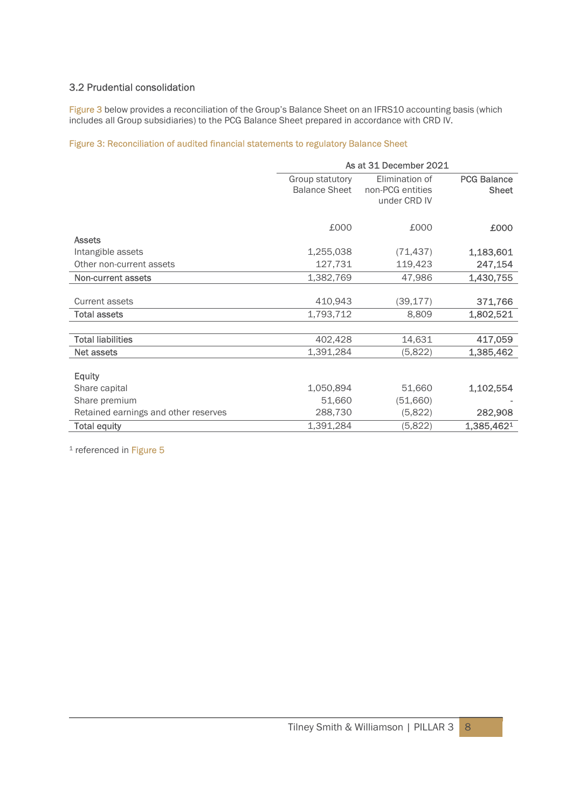# 3.2 Prudential consolidation

Figure 3 below provides a reconciliation of the Group's Balance Sheet on an IFRS10 accounting basis (which includes all Group subsidiaries) to the PCG Balance Sheet prepared in accordance with CRD IV.

# Figure 3: Reconciliation of audited financial statements to regulatory Balance Sheet

|                                      | As at 31 December 2021 |                  |                    |
|--------------------------------------|------------------------|------------------|--------------------|
|                                      | Group statutory        | Elimination of   | <b>PCG Balance</b> |
|                                      | <b>Balance Sheet</b>   | non-PCG entities | <b>Sheet</b>       |
|                                      |                        | under CRD IV     |                    |
|                                      |                        |                  |                    |
|                                      | £000                   | £000             | £000               |
| <b>Assets</b>                        |                        |                  |                    |
| Intangible assets                    | 1,255,038              | (71, 437)        | 1,183,601          |
| Other non-current assets             | 127,731                | 119,423          | 247,154            |
| Non-current assets                   | 1,382,769              | 47,986           | 1,430,755          |
|                                      |                        |                  |                    |
| Current assets                       | 410,943                | (39, 177)        | 371,766            |
| <b>Total assets</b>                  | 1,793,712              | 8,809            | 1,802,521          |
|                                      |                        |                  |                    |
| <b>Total liabilities</b>             | 402,428                | 14,631           | 417,059            |
| Net assets                           | 1,391,284              | (5,822)          | 1,385,462          |
|                                      |                        |                  |                    |
| <b>Equity</b>                        |                        |                  |                    |
| Share capital                        | 1,050,894              | 51,660           | 1,102,554          |
| Share premium                        | 51,660                 | (51,660)         |                    |
| Retained earnings and other reserves | 288,730                | (5,822)          | 282,908            |
| <b>Total equity</b>                  | 1,391,284              | (5,822)          | 1,385,4621         |

<sup>1</sup> referenced in Figure 5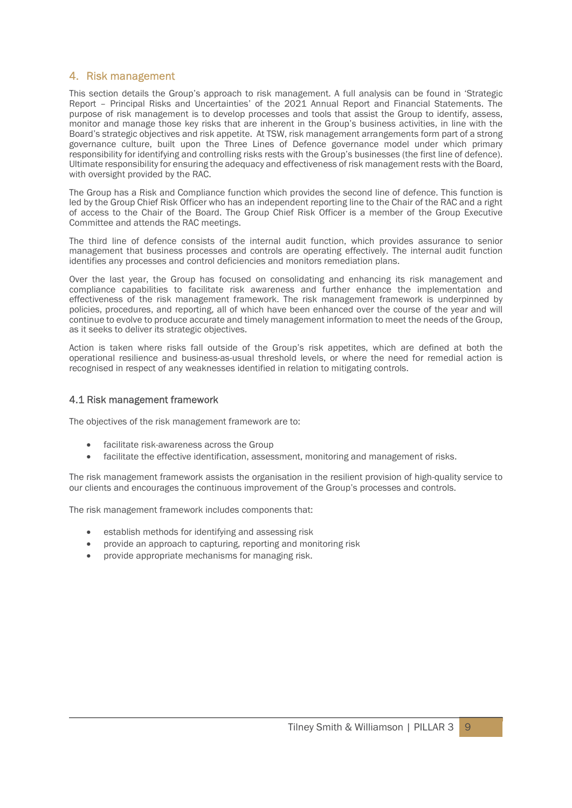# 4. Risk management

This section details the Group's approach to risk management. A full analysis can be found in 'Strategic Report – Principal Risks and Uncertainties' of the 2021 Annual Report and Financial Statements. The purpose of risk management is to develop processes and tools that assist the Group to identify, assess, monitor and manage those key risks that are inherent in the Group's business activities, in line with the Board's strategic objectives and risk appetite. At TSW, risk management arrangements form part of a strong governance culture, built upon the Three Lines of Defence governance model under which primary responsibility for identifying and controlling risks rests with the Group's businesses (the first line of defence). Ultimate responsibility for ensuring the adequacy and effectiveness of risk management rests with the Board, with oversight provided by the RAC.

The Group has a Risk and Compliance function which provides the second line of defence. This function is led by the Group Chief Risk Officer who has an independent reporting line to the Chair of the RAC and a right of access to the Chair of the Board. The Group Chief Risk Officer is a member of the Group Executive Committee and attends the RAC meetings.

The third line of defence consists of the internal audit function, which provides assurance to senior management that business processes and controls are operating effectively. The internal audit function identifies any processes and control deficiencies and monitors remediation plans.

Over the last year, the Group has focused on consolidating and enhancing its risk management and compliance capabilities to facilitate risk awareness and further enhance the implementation and effectiveness of the risk management framework. The risk management framework is underpinned by policies, procedures, and reporting, all of which have been enhanced over the course of the year and will continue to evolve to produce accurate and timely management information to meet the needs of the Group, as it seeks to deliver its strategic objectives.

Action is taken where risks fall outside of the Group's risk appetites, which are defined at both the operational resilience and business-as-usual threshold levels, or where the need for remedial action is recognised in respect of any weaknesses identified in relation to mitigating controls.

#### 4.1 Risk management framework

The objectives of the risk management framework are to:

- facilitate risk-awareness across the Group
- facilitate the effective identification, assessment, monitoring and management of risks.

The risk management framework assists the organisation in the resilient provision of high-quality service to our clients and encourages the continuous improvement of the Group's processes and controls.

The risk management framework includes components that:

- establish methods for identifying and assessing risk
- provide an approach to capturing, reporting and monitoring risk
- provide appropriate mechanisms for managing risk.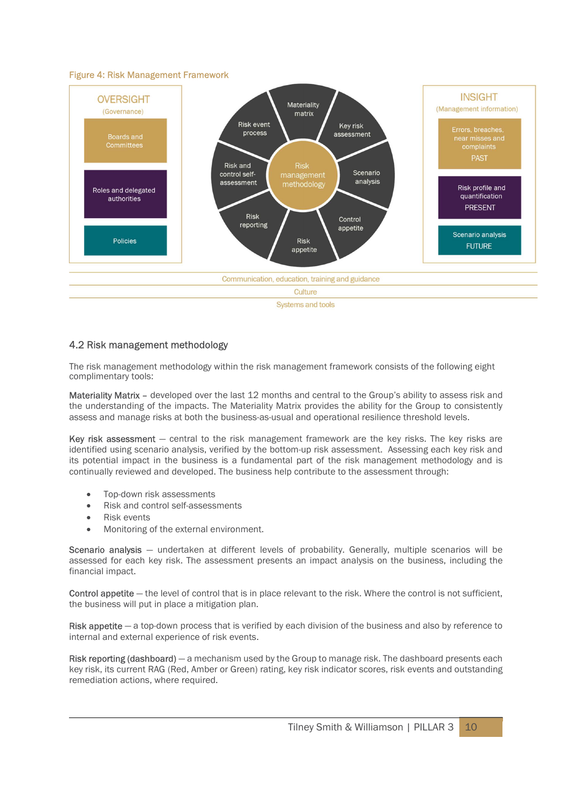#### Figure 4: Risk Management Framework



#### 4.2 Risk management methodology

The risk management methodology within the risk management framework consists of the following eight complimentary tools:

Materiality Matrix – developed over the last 12 months and central to the Group's ability to assess risk and the understanding of the impacts. The Materiality Matrix provides the ability for the Group to consistently assess and manage risks at both the business-as-usual and operational resilience threshold levels.

Key risk assessment – central to the risk management framework are the key risks. The key risks are identified using scenario analysis, verified by the bottom-up risk assessment. Assessing each key risk and its potential impact in the business is a fundamental part of the risk management methodology and is continually reviewed and developed. The business help contribute to the assessment through:

- Top-down risk assessments
- Risk and control self-assessments
- Risk events
- Monitoring of the external environment.

Scenario analysis – undertaken at different levels of probability. Generally, multiple scenarios will be assessed for each key risk. The assessment presents an impact analysis on the business, including the financial impact.

Control appetite — the level of control that is in place relevant to the risk. Where the control is not sufficient, the business will put in place a mitigation plan.

Risk appetite  $-$  a top-down process that is verified by each division of the business and also by reference to internal and external experience of risk events.

Risk reporting (dashboard) — a mechanism used by the Group to manage risk. The dashboard presents each key risk, its current RAG (Red, Amber or Green) rating, key risk indicator scores, risk events and outstanding remediation actions, where required.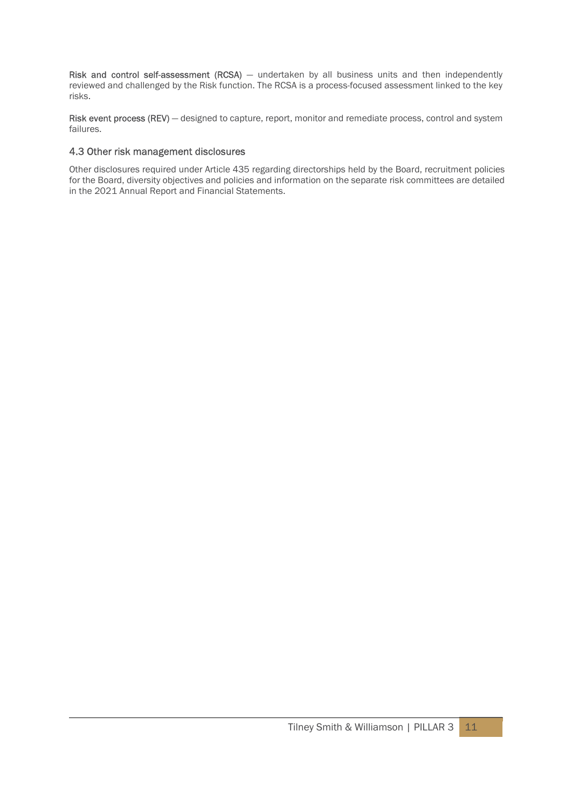Risk and control self-assessment (RCSA)  $-$  undertaken by all business units and then independently reviewed and challenged by the Risk function. The RCSA is a process-focused assessment linked to the key risks.

Risk event process (REV) – designed to capture, report, monitor and remediate process, control and system failures.

#### 4.3 Other risk management disclosures

Other disclosures required under Article 435 regarding directorships held by the Board, recruitment policies for the Board, diversity objectives and policies and information on the separate risk committees are detailed in the 2021 Annual Report and Financial Statements.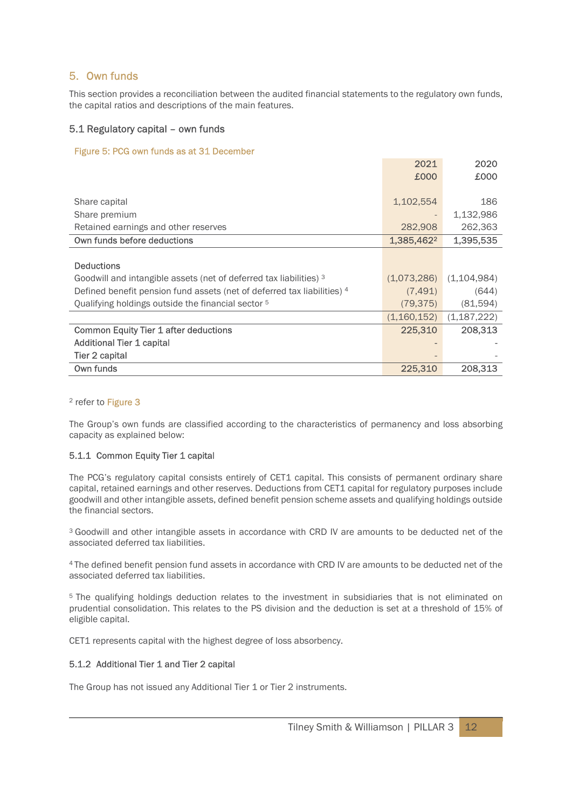# 5. Own funds

This section provides a reconciliation between the audited financial statements to the regulatory own funds, the capital ratios and descriptions of the main features.

## 5.1 Regulatory capital – own funds

#### Figure 5: PCG own funds as at 31 December

|                                                                         | 2021        | 2020          |
|-------------------------------------------------------------------------|-------------|---------------|
|                                                                         | £000        | £000          |
|                                                                         |             |               |
| Share capital                                                           | 1,102,554   | 186           |
| Share premium                                                           |             | 1,132,986     |
| Retained earnings and other reserves                                    | 282,908     | 262,363       |
| Own funds before deductions                                             | 1,385,4622  | 1,395,535     |
|                                                                         |             |               |
| <b>Deductions</b>                                                       |             |               |
| Goodwill and intangible assets (net of deferred tax liabilities) 3      | (1,073,286) | (1,104,984)   |
| Defined benefit pension fund assets (net of deferred tax liabilities) 4 | (7, 491)    | (644)         |
| Qualifying holdings outside the financial sector <sup>5</sup>           | (79, 375)   | (81,594)      |
|                                                                         | (1,160,152) | (1, 187, 222) |
| <b>Common Equity Tier 1 after deductions</b>                            | 225,310     | 208,313       |
| Additional Tier 1 capital                                               |             |               |
| Tier 2 capital                                                          |             |               |
| Own funds                                                               | 225,310     | 208,313       |

#### <sup>2</sup> refer to Figure 3

The Group's own funds are classified according to the characteristics of permanency and loss absorbing capacity as explained below:

#### 5.1.1 Common Equity Tier 1 capital

The PCG's regulatory capital consists entirely of CET1 capital. This consists of permanent ordinary share capital, retained earnings and other reserves. Deductions from CET1 capital for regulatory purposes include goodwill and other intangible assets, defined benefit pension scheme assets and qualifying holdings outside the financial sectors.

<sup>3</sup> Goodwill and other intangible assets in accordance with CRD IV are amounts to be deducted net of the associated deferred tax liabilities.

<sup>4</sup>The defined benefit pension fund assets in accordance with CRD IV are amounts to be deducted net of the associated deferred tax liabilities.

<sup>5</sup> The qualifying holdings deduction relates to the investment in subsidiaries that is not eliminated on prudential consolidation. This relates to the PS division and the deduction is set at a threshold of 15% of eligible capital.

CET1 represents capital with the highest degree of loss absorbency.

#### 5.1.2 Additional Tier 1 and Tier 2 capital

The Group has not issued any Additional Tier 1 or Tier 2 instruments.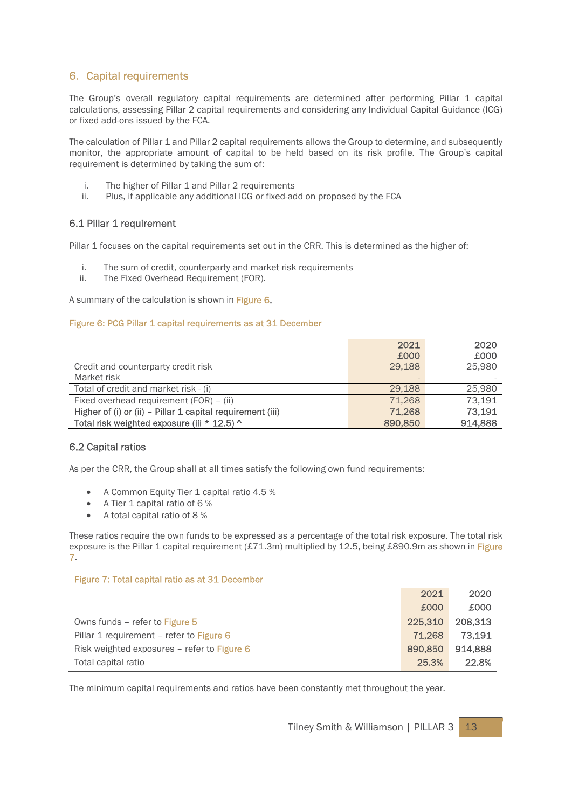# 6. Capital requirements

The Group's overall regulatory capital requirements are determined after performing Pillar 1 capital calculations, assessing Pillar 2 capital requirements and considering any Individual Capital Guidance (ICG) or fixed add-ons issued by the FCA.

The calculation of Pillar 1 and Pillar 2 capital requirements allows the Group to determine, and subsequently monitor, the appropriate amount of capital to be held based on its risk profile. The Group's capital requirement is determined by taking the sum of:

- i. The higher of Pillar 1 and Pillar 2 requirements
- ii. Plus, if applicable any additional ICG or fixed-add on proposed by the FCA

## 6.1 Pillar 1 requirement

Pillar 1 focuses on the capital requirements set out in the CRR. This is determined as the higher of:

- i. The sum of credit, counterparty and market risk requirements
- ii. The Fixed Overhead Requirement (FOR).

A summary of the calculation is shown in Figure 6.

#### Figure 6: PCG Pillar 1 capital requirements as at 31 December

|                                                            | 2021<br>£000             | 2020<br>£000 |
|------------------------------------------------------------|--------------------------|--------------|
| Credit and counterparty credit risk                        | 29.188                   | 25,980       |
| Market risk                                                | $\overline{\phantom{0}}$ |              |
| Total of credit and market risk - (i)                      | 29.188                   | 25,980       |
| Fixed overhead requirement (FOR) - (ii)                    | 71.268                   | 73,191       |
| Higher of (i) or (ii) - Pillar 1 capital requirement (iii) | 71,268                   | 73,191       |
| Total risk weighted exposure (iii * 12.5) ^                | 890,850                  | 914,888      |

#### 6.2 Capital ratios

As per the CRR, the Group shall at all times satisfy the following own fund requirements:

- A Common Equity Tier 1 capital ratio 4.5 %
- A Tier 1 capital ratio of 6 %
- A total capital ratio of 8 %

These ratios require the own funds to be expressed as a percentage of the total risk exposure. The total risk exposure is the Pillar 1 capital requirement  $(E71.3m)$  multiplied by 12.5, being £890.9m as shown in Figure 7.

#### Figure 7: Total capital ratio as at 31 December

|                                             | 2021    | 2020    |
|---------------------------------------------|---------|---------|
|                                             | £000    | £000    |
| Owns funds - refer to Figure 5              | 225,310 | 208.313 |
| Pillar 1 requirement - refer to Figure 6    | 71,268  | 73.191  |
| Risk weighted exposures - refer to Figure 6 | 890,850 | 914.888 |
| Total capital ratio                         | 25.3%   | 22.8%   |

The minimum capital requirements and ratios have been constantly met throughout the year.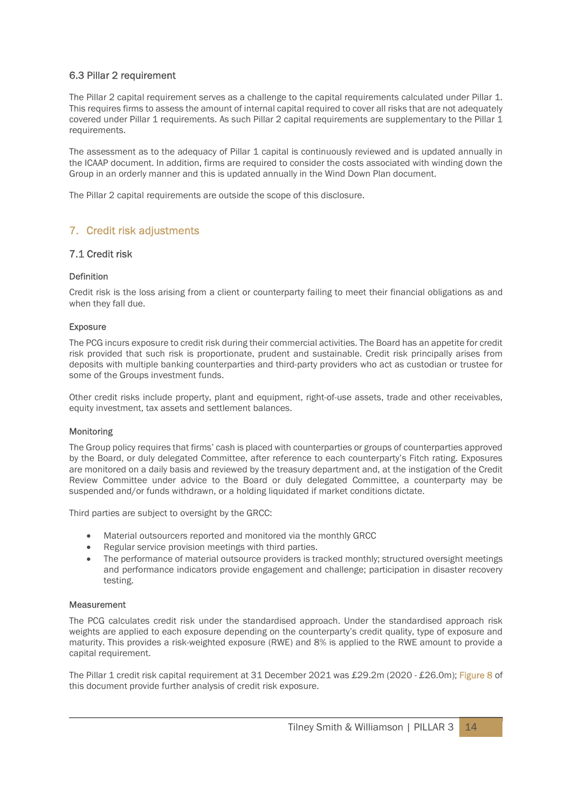## 6.3 Pillar 2 requirement

The Pillar 2 capital requirement serves as a challenge to the capital requirements calculated under Pillar 1. This requires firms to assess the amount of internal capital required to cover all risks that are not adequately covered under Pillar 1 requirements. As such Pillar 2 capital requirements are supplementary to the Pillar 1 requirements.

The assessment as to the adequacy of Pillar 1 capital is continuously reviewed and is updated annually in the ICAAP document. In addition, firms are required to consider the costs associated with winding down the Group in an orderly manner and this is updated annually in the Wind Down Plan document.

The Pillar 2 capital requirements are outside the scope of this disclosure.

# 7. Credit risk adjustments

#### 7.1 Credit risk

#### Definition

Credit risk is the loss arising from a client or counterparty failing to meet their financial obligations as and when they fall due.

#### Exposure

The PCG incurs exposure to credit risk during their commercial activities. The Board has an appetite for credit risk provided that such risk is proportionate, prudent and sustainable. Credit risk principally arises from deposits with multiple banking counterparties and third-party providers who act as custodian or trustee for some of the Groups investment funds.

Other credit risks include property, plant and equipment, right-of-use assets, trade and other receivables, equity investment, tax assets and settlement balances.

#### Monitoring

The Group policy requires that firms' cash is placed with counterparties or groups of counterparties approved by the Board, or duly delegated Committee, after reference to each counterparty's Fitch rating. Exposures are monitored on a daily basis and reviewed by the treasury department and, at the instigation of the Credit Review Committee under advice to the Board or duly delegated Committee, a counterparty may be suspended and/or funds withdrawn, or a holding liquidated if market conditions dictate.

Third parties are subject to oversight by the GRCC:

- Material outsourcers reported and monitored via the monthly GRCC
- Regular service provision meetings with third parties.
- The performance of material outsource providers is tracked monthly; structured oversight meetings and performance indicators provide engagement and challenge; participation in disaster recovery testing.

#### **Measurement**

The PCG calculates credit risk under the standardised approach. Under the standardised approach risk weights are applied to each exposure depending on the counterparty's credit quality, type of exposure and maturity. This provides a risk-weighted exposure (RWE) and 8% is applied to the RWE amount to provide a capital requirement.

The Pillar 1 credit risk capital requirement at 31 December 2021 was £29.2m (2020 - £26.0m); Figure 8 of this document provide further analysis of credit risk exposure.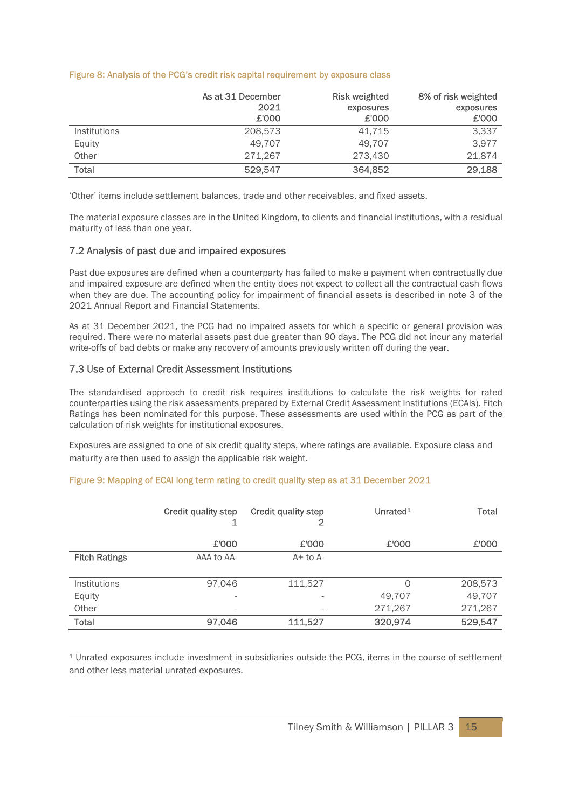#### Figure 8: Analysis of the PCG's credit risk capital requirement by exposure class

|                     | As at 31 December<br>2021<br>£'000 | <b>Risk weighted</b><br>exposures<br>£'000 | 8% of risk weighted<br>exposures<br>£'000 |
|---------------------|------------------------------------|--------------------------------------------|-------------------------------------------|
| <b>Institutions</b> | 208,573                            | 41,715                                     | 3,337                                     |
| Equity              | 49.707                             | 49.707                                     | 3.977                                     |
| Other               | 271.267                            | 273.430                                    | 21.874                                    |
| <b>Total</b>        | 529.547                            | 364,852                                    | 29,188                                    |

'Other' items include settlement balances, trade and other receivables, and fixed assets.

The material exposure classes are in the United Kingdom, to clients and financial institutions, with a residual maturity of less than one year.

#### 7.2 Analysis of past due and impaired exposures

Past due exposures are defined when a counterparty has failed to make a payment when contractually due and impaired exposure are defined when the entity does not expect to collect all the contractual cash flows when they are due. The accounting policy for impairment of financial assets is described in note 3 of the 2021 Annual Report and Financial Statements.

As at 31 December 2021, the PCG had no impaired assets for which a specific or general provision was required. There were no material assets past due greater than 90 days. The PCG did not incur any material write-offs of bad debts or make any recovery of amounts previously written off during the year.

#### 7.3 Use of External Credit Assessment Institutions

The standardised approach to credit risk requires institutions to calculate the risk weights for rated counterparties using the risk assessments prepared by External Credit Assessment Institutions (ECAIs). Fitch Ratings has been nominated for this purpose. These assessments are used within the PCG as part of the calculation of risk weights for institutional exposures.

Exposures are assigned to one of six credit quality steps, where ratings are available. Exposure class and maturity are then used to assign the applicable risk weight.

|  |  |  |  | Figure 9: Mapping of ECAI long term rating to credit quality step as at 31 December 2021 |
|--|--|--|--|------------------------------------------------------------------------------------------|
|--|--|--|--|------------------------------------------------------------------------------------------|

|                      | Credit quality step      | <b>Credit quality step</b> | Unrated <sup>1</sup> | <b>Total</b> |
|----------------------|--------------------------|----------------------------|----------------------|--------------|
|                      | £'000                    | £'000                      | £'000                | £'000        |
| <b>Fitch Ratings</b> | AAA to AA-               | $A+$ to $A-$               |                      |              |
|                      |                          |                            |                      |              |
| <b>Institutions</b>  | 97,046                   | 111,527                    | 0                    | 208,573      |
| Equity               | $\overline{\phantom{a}}$ |                            | 49,707               | 49,707       |
| Other                | $\overline{\phantom{a}}$ | $\overline{\phantom{a}}$   | 271,267              | 271,267      |
| Total                | 97,046                   | 111,527                    | 320,974              | 529,547      |

<sup>1</sup> Unrated exposures include investment in subsidiaries outside the PCG, items in the course of settlement and other less material unrated exposures.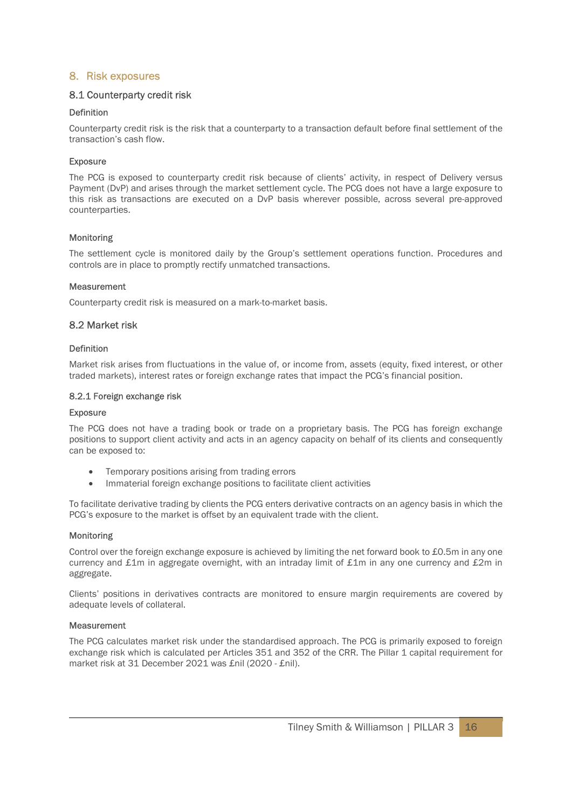# 8. Risk exposures

# 8.1 Counterparty credit risk

## Definition

Counterparty credit risk is the risk that a counterparty to a transaction default before final settlement of the transaction's cash flow.

## **Exposure**

The PCG is exposed to counterparty credit risk because of clients' activity, in respect of Delivery versus Payment (DvP) and arises through the market settlement cycle. The PCG does not have a large exposure to this risk as transactions are executed on a DvP basis wherever possible, across several pre-approved counterparties.

## Monitoring

The settlement cycle is monitored daily by the Group's settlement operations function. Procedures and controls are in place to promptly rectify unmatched transactions.

#### **Measurement**

Counterparty credit risk is measured on a mark-to-market basis.

# 8.2 Market risk

## Definition

Market risk arises from fluctuations in the value of, or income from, assets (equity, fixed interest, or other traded markets), interest rates or foreign exchange rates that impact the PCG's financial position.

#### 8.2.1 Foreign exchange risk

#### Exposure

The PCG does not have a trading book or trade on a proprietary basis. The PCG has foreign exchange positions to support client activity and acts in an agency capacity on behalf of its clients and consequently can be exposed to:

- Temporary positions arising from trading errors
- Immaterial foreign exchange positions to facilitate client activities

To facilitate derivative trading by clients the PCG enters derivative contracts on an agency basis in which the PCG's exposure to the market is offset by an equivalent trade with the client.

#### Monitoring

Control over the foreign exchange exposure is achieved by limiting the net forward book to £0.5m in any one currency and £1m in aggregate overnight, with an intraday limit of £1m in any one currency and £2m in aggregate.

Clients' positions in derivatives contracts are monitored to ensure margin requirements are covered by adequate levels of collateral.

## Measurement

The PCG calculates market risk under the standardised approach. The PCG is primarily exposed to foreign exchange risk which is calculated per Articles 351 and 352 of the CRR. The Pillar 1 capital requirement for market risk at 31 December 2021 was £nil (2020 - £nil).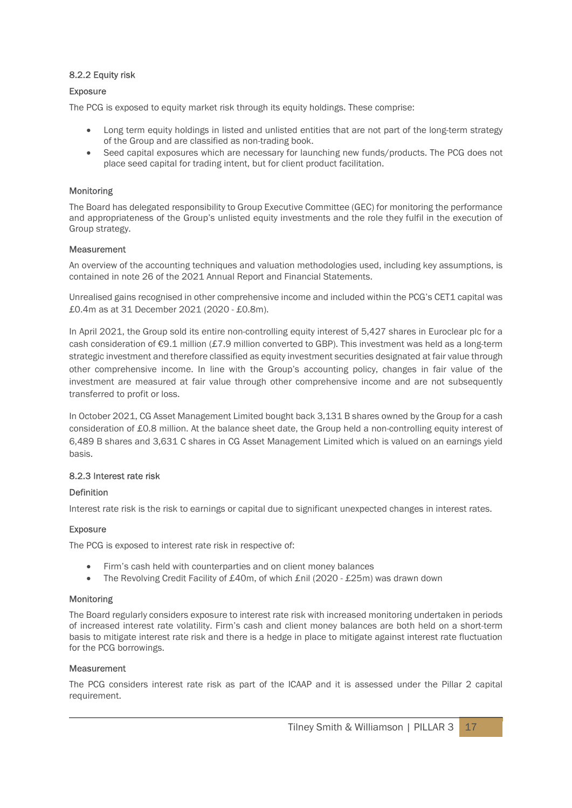# 8.2.2 Equity risk

## Exposure

The PCG is exposed to equity market risk through its equity holdings. These comprise:

- Long term equity holdings in listed and unlisted entities that are not part of the long-term strategy of the Group and are classified as non-trading book.
- Seed capital exposures which are necessary for launching new funds/products. The PCG does not place seed capital for trading intent, but for client product facilitation.

## Monitoring

The Board has delegated responsibility to Group Executive Committee (GEC) for monitoring the performance and appropriateness of the Group's unlisted equity investments and the role they fulfil in the execution of Group strategy.

#### **Measurement**

An overview of the accounting techniques and valuation methodologies used, including key assumptions, is contained in note 26 of the 2021 Annual Report and Financial Statements.

Unrealised gains recognised in other comprehensive income and included within the PCG's CET1 capital was £0.4m as at 31 December 2021 (2020 - £0.8m).

In April 2021, the Group sold its entire non-controlling equity interest of 5,427 shares in Euroclear plc for a cash consideration of €9.1 million (£7.9 million converted to GBP). This investment was held as a long-term strategic investment and therefore classified as equity investment securities designated at fair value through other comprehensive income. In line with the Group's accounting policy, changes in fair value of the investment are measured at fair value through other comprehensive income and are not subsequently transferred to profit or loss.

In October 2021, CG Asset Management Limited bought back 3,131 B shares owned by the Group for a cash consideration of £0.8 million. At the balance sheet date, the Group held a non-controlling equity interest of 6,489 B shares and 3,631 C shares in CG Asset Management Limited which is valued on an earnings yield basis.

#### 8.2.3 Interest rate risk

#### Definition

Interest rate risk is the risk to earnings or capital due to significant unexpected changes in interest rates.

#### Exposure

The PCG is exposed to interest rate risk in respective of:

- Firm's cash held with counterparties and on client money balances
- The Revolving Credit Facility of £40m, of which £nil (2020 £25m) was drawn down

#### Monitoring

The Board regularly considers exposure to interest rate risk with increased monitoring undertaken in periods of increased interest rate volatility. Firm's cash and client money balances are both held on a short-term basis to mitigate interest rate risk and there is a hedge in place to mitigate against interest rate fluctuation for the PCG borrowings.

#### Measurement

The PCG considers interest rate risk as part of the ICAAP and it is assessed under the Pillar 2 capital requirement.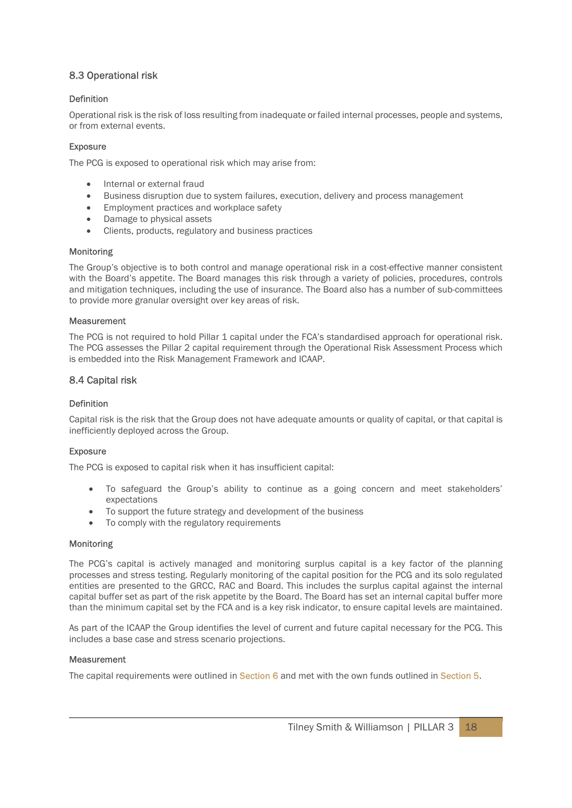# 8.3 Operational risk

## Definition

Operational risk is the risk of loss resulting from inadequate or failed internal processes, people and systems, or from external events.

#### **Exposure**

The PCG is exposed to operational risk which may arise from:

- Internal or external fraud
- Business disruption due to system failures, execution, delivery and process management
- Employment practices and workplace safety
- Damage to physical assets
- Clients, products, regulatory and business practices

#### Monitoring

The Group's objective is to both control and manage operational risk in a cost-effective manner consistent with the Board's appetite. The Board manages this risk through a variety of policies, procedures, controls and mitigation techniques, including the use of insurance. The Board also has a number of sub-committees to provide more granular oversight over key areas of risk.

#### **Measurement**

The PCG is not required to hold Pillar 1 capital under the FCA's standardised approach for operational risk. The PCG assesses the Pillar 2 capital requirement through the Operational Risk Assessment Process which is embedded into the Risk Management Framework and ICAAP.

#### 8.4 Capital risk

#### Definition

Capital risk is the risk that the Group does not have adequate amounts or quality of capital, or that capital is inefficiently deployed across the Group.

#### **Exposure**

The PCG is exposed to capital risk when it has insufficient capital:

- To safeguard the Group's ability to continue as a going concern and meet stakeholders' expectations
- To support the future strategy and development of the business
- To comply with the regulatory requirements

#### Monitoring

The PCG's capital is actively managed and monitoring surplus capital is a key factor of the planning processes and stress testing. Regularly monitoring of the capital position for the PCG and its solo regulated entities are presented to the GRCC, RAC and Board. This includes the surplus capital against the internal capital buffer set as part of the risk appetite by the Board. The Board has set an internal capital buffer more than the minimum capital set by the FCA and is a key risk indicator, to ensure capital levels are maintained.

As part of the ICAAP the Group identifies the level of current and future capital necessary for the PCG. This includes a base case and stress scenario projections.

#### **Measurement**

The capital requirements were outlined in Section 6 and met with the own funds outlined in Section 5.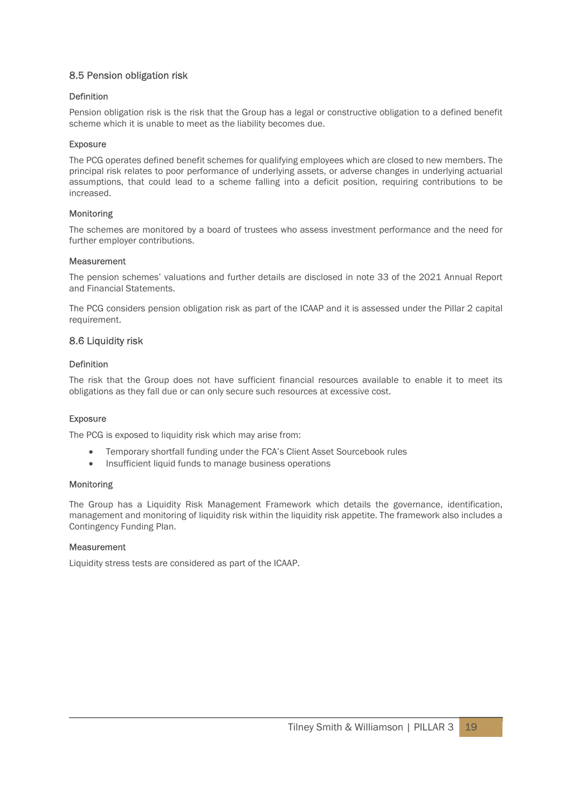# 8.5 Pension obligation risk

#### Definition

Pension obligation risk is the risk that the Group has a legal or constructive obligation to a defined benefit scheme which it is unable to meet as the liability becomes due.

#### **Exposure**

The PCG operates defined benefit schemes for qualifying employees which are closed to new members. The principal risk relates to poor performance of underlying assets, or adverse changes in underlying actuarial assumptions, that could lead to a scheme falling into a deficit position, requiring contributions to be increased.

#### Monitoring

The schemes are monitored by a board of trustees who assess investment performance and the need for further employer contributions.

#### **Measurement**

The pension schemes' valuations and further details are disclosed in note 33 of the 2021 Annual Report and Financial Statements.

The PCG considers pension obligation risk as part of the ICAAP and it is assessed under the Pillar 2 capital requirement.

### 8.6 Liquidity risk

#### Definition

The risk that the Group does not have sufficient financial resources available to enable it to meet its obligations as they fall due or can only secure such resources at excessive cost.

#### Exposure

The PCG is exposed to liquidity risk which may arise from:

- Temporary shortfall funding under the FCA's Client Asset Sourcebook rules
- Insufficient liquid funds to manage business operations

#### Monitoring

The Group has a Liquidity Risk Management Framework which details the governance, identification, management and monitoring of liquidity risk within the liquidity risk appetite. The framework also includes a Contingency Funding Plan.

#### **Measurement**

Liquidity stress tests are considered as part of the ICAAP.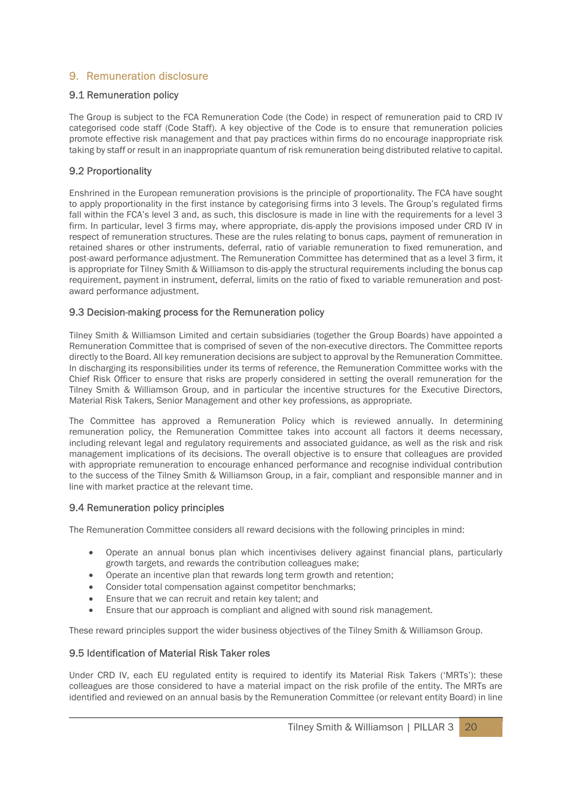# 9. Remuneration disclosure

# 9.1 Remuneration policy

The Group is subject to the FCA Remuneration Code (the Code) in respect of remuneration paid to CRD IV categorised code staff (Code Staff). A key objective of the Code is to ensure that remuneration policies promote effective risk management and that pay practices within firms do no encourage inappropriate risk taking by staff or result in an inappropriate quantum of risk remuneration being distributed relative to capital.

# 9.2 Proportionality

Enshrined in the European remuneration provisions is the principle of proportionality. The FCA have sought to apply proportionality in the first instance by categorising firms into 3 levels. The Group's regulated firms fall within the FCA's level 3 and, as such, this disclosure is made in line with the requirements for a level 3 firm. In particular, level 3 firms may, where appropriate, dis-apply the provisions imposed under CRD IV in respect of remuneration structures. These are the rules relating to bonus caps, payment of remuneration in retained shares or other instruments, deferral, ratio of variable remuneration to fixed remuneration, and post-award performance adjustment. The Remuneration Committee has determined that as a level 3 firm, it is appropriate for Tilney Smith & Williamson to dis-apply the structural requirements including the bonus cap requirement, payment in instrument, deferral, limits on the ratio of fixed to variable remuneration and postaward performance adjustment.

# 9.3 Decision-making process for the Remuneration policy

Tilney Smith & Williamson Limited and certain subsidiaries (together the Group Boards) have appointed a Remuneration Committee that is comprised of seven of the non-executive directors. The Committee reports directly to the Board. All key remuneration decisions are subject to approval by the Remuneration Committee. In discharging its responsibilities under its terms of reference, the Remuneration Committee works with the Chief Risk Officer to ensure that risks are properly considered in setting the overall remuneration for the Tilney Smith & Williamson Group, and in particular the incentive structures for the Executive Directors, Material Risk Takers, Senior Management and other key professions, as appropriate.

The Committee has approved a Remuneration Policy which is reviewed annually. In determining remuneration policy, the Remuneration Committee takes into account all factors it deems necessary, including relevant legal and regulatory requirements and associated guidance, as well as the risk and risk management implications of its decisions. The overall objective is to ensure that colleagues are provided with appropriate remuneration to encourage enhanced performance and recognise individual contribution to the success of the Tilney Smith & Williamson Group, in a fair, compliant and responsible manner and in line with market practice at the relevant time.

# 9.4 Remuneration policy principles

The Remuneration Committee considers all reward decisions with the following principles in mind:

- Operate an annual bonus plan which incentivises delivery against financial plans, particularly growth targets, and rewards the contribution colleagues make;
- Operate an incentive plan that rewards long term growth and retention;
- Consider total compensation against competitor benchmarks;
- Ensure that we can recruit and retain key talent; and
- Ensure that our approach is compliant and aligned with sound risk management.

These reward principles support the wider business objectives of the Tilney Smith & Williamson Group.

# 9.5 Identification of Material Risk Taker roles

Under CRD IV, each EU regulated entity is required to identify its Material Risk Takers ('MRTs'): these colleagues are those considered to have a material impact on the risk profile of the entity. The MRTs are identified and reviewed on an annual basis by the Remuneration Committee (or relevant entity Board) in line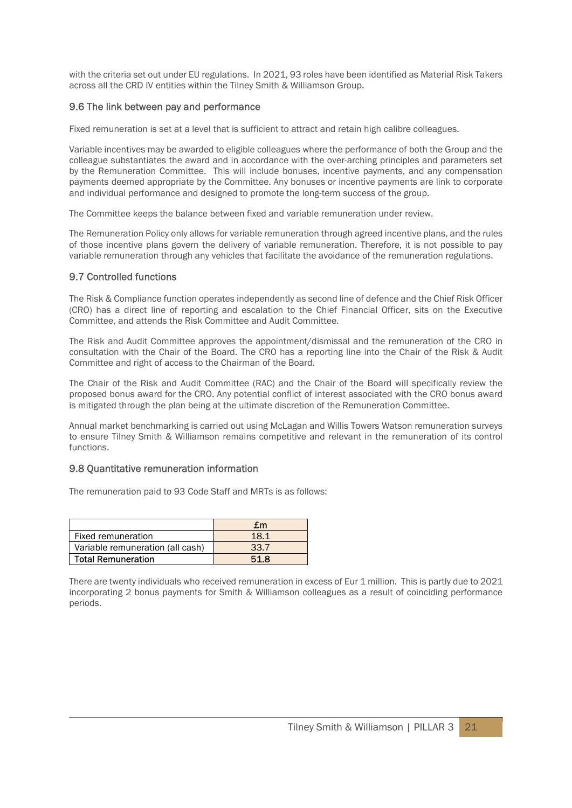with the criteria set out under EU regulations. In 2021, 93 roles have been identified as Material Risk Takers across all the CRD IV entities within the Tilney Smith & Williamson Group.

## 9.6 The link between pay and performance

Fixed remuneration is set at a level that is sufficient to attract and retain high calibre colleagues.

Variable incentives may be awarded to eligible colleagues where the performance of both the Group and the colleague substantiates the award and in accordance with the over-arching principles and parameters set by the Remuneration Committee. This will include bonuses, incentive payments, and any compensation payments deemed appropriate by the Committee. Any bonuses or incentive payments are link to corporate and individual performance and designed to promote the long-term success of the group.

The Committee keeps the balance between fixed and variable remuneration under review.

The Remuneration Policy only allows for variable remuneration through agreed incentive plans, and the rules of those incentive plans govern the delivery of variable remuneration. Therefore, it is not possible to pay variable remuneration through any vehicles that facilitate the avoidance of the remuneration regulations.

## 9.7 Controlled functions

The Risk & Compliance function operates independently as second line of defence and the Chief Risk Officer (CRO) has a direct line of reporting and escalation to the Chief Financial Officer, sits on the Executive Committee, and attends the Risk Committee and Audit Committee.

The Risk and Audit Committee approves the appointment/dismissal and the remuneration of the CRO in consultation with the Chair of the Board. The CRO has a reporting line into the Chair of the Risk & Audit Committee and right of access to the Chairman of the Board.

The Chair of the Risk and Audit Committee (RAC) and the Chair of the Board will specifically review the proposed bonus award for the CRO. Any potential conflict of interest associated with the CRO bonus award is mitigated through the plan being at the ultimate discretion of the Remuneration Committee.

Annual market benchmarking is carried out using McLagan and Willis Towers Watson remuneration surveys to ensure Tilney Smith & Williamson remains competitive and relevant in the remuneration of its control functions.

#### 9.8 Quantitative remuneration information

The remuneration paid to 93 Code Staff and MRTs is as follows:

|                                  | $\mathbf{f}$ m |
|----------------------------------|----------------|
| Fixed remuneration               | 18.1           |
| Variable remuneration (all cash) | 33.7           |
| <b>Total Remuneration</b>        | 51 R           |

There are twenty individuals who received remuneration in excess of Eur 1 million. This is partly due to 2021 incorporating 2 bonus payments for Smith & Williamson colleagues as a result of coinciding performance periods.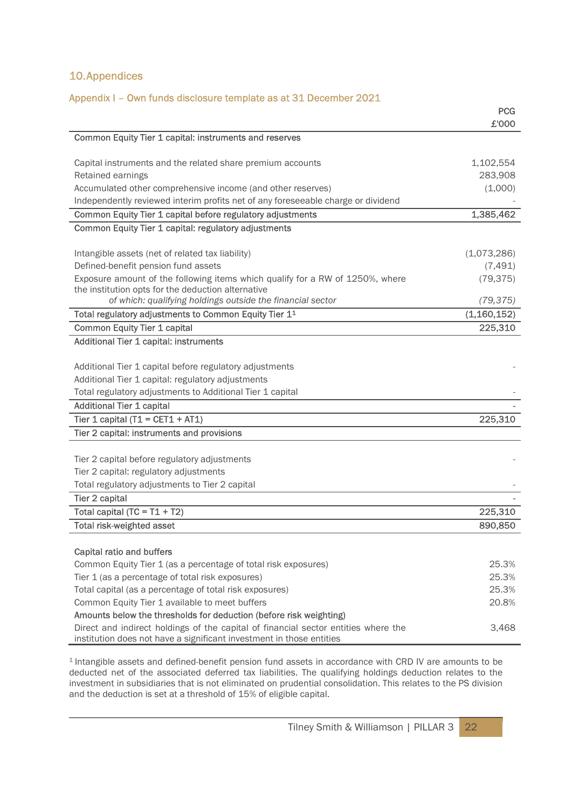# 10.Appendices

## Appendix I – Own funds disclosure template as at 31 December 2021

|                                                                                                                                                            | <b>PCG</b>  |
|------------------------------------------------------------------------------------------------------------------------------------------------------------|-------------|
|                                                                                                                                                            | £'000       |
| Common Equity Tier 1 capital: instruments and reserves                                                                                                     |             |
|                                                                                                                                                            |             |
| Capital instruments and the related share premium accounts                                                                                                 | 1,102,554   |
| Retained earnings                                                                                                                                          | 283,908     |
| Accumulated other comprehensive income (and other reserves)                                                                                                | (1,000)     |
| Independently reviewed interim profits net of any foreseeable charge or dividend                                                                           |             |
| Common Equity Tier 1 capital before regulatory adjustments                                                                                                 | 1,385,462   |
| Common Equity Tier 1 capital: regulatory adjustments                                                                                                       |             |
|                                                                                                                                                            | (1,073,286) |
| Intangible assets (net of related tax liability)<br>Defined-benefit pension fund assets                                                                    | (7, 491)    |
| Exposure amount of the following items which qualify for a RW of 1250%, where                                                                              | (79, 375)   |
| the institution opts for the deduction alternative                                                                                                         |             |
| of which: qualifying holdings outside the financial sector                                                                                                 | (79, 375)   |
| Total regulatory adjustments to Common Equity Tier 1 <sup>1</sup>                                                                                          | (1,160,152) |
| <b>Common Equity Tier 1 capital</b>                                                                                                                        | 225,310     |
| Additional Tier 1 capital: instruments                                                                                                                     |             |
|                                                                                                                                                            |             |
| Additional Tier 1 capital before regulatory adjustments                                                                                                    |             |
| Additional Tier 1 capital: regulatory adjustments                                                                                                          |             |
| Total regulatory adjustments to Additional Tier 1 capital                                                                                                  |             |
| <b>Additional Tier 1 capital</b>                                                                                                                           |             |
| Tier 1 capital $(T1 = CET1 + AT1)$                                                                                                                         | 225,310     |
| Tier 2 capital: instruments and provisions                                                                                                                 |             |
|                                                                                                                                                            |             |
| Tier 2 capital before regulatory adjustments                                                                                                               |             |
| Tier 2 capital: regulatory adjustments                                                                                                                     |             |
| Total regulatory adjustments to Tier 2 capital                                                                                                             |             |
| Tier 2 capital                                                                                                                                             |             |
| Total capital $(TC = T1 + T2)$                                                                                                                             | 225,310     |
| <b>Total risk-weighted asset</b>                                                                                                                           | 890,850     |
|                                                                                                                                                            |             |
| Capital ratio and buffers                                                                                                                                  |             |
| Common Equity Tier 1 (as a percentage of total risk exposures)                                                                                             | 25.3%       |
| Tier 1 (as a percentage of total risk exposures)                                                                                                           | 25.3%       |
| Total capital (as a percentage of total risk exposures)                                                                                                    | 25.3%       |
| Common Equity Tier 1 available to meet buffers                                                                                                             | 20.8%       |
| Amounts below the thresholds for deduction (before risk weighting)                                                                                         |             |
| Direct and indirect holdings of the capital of financial sector entities where the<br>institution does not have a significant investment in those entities | 3,468       |

<sup>1</sup> Intangible assets and defined-benefit pension fund assets in accordance with CRD IV are amounts to be deducted net of the associated deferred tax liabilities. The qualifying holdings deduction relates to the investment in subsidiaries that is not eliminated on prudential consolidation. This relates to the PS division and the deduction is set at a threshold of 15% of eligible capital.